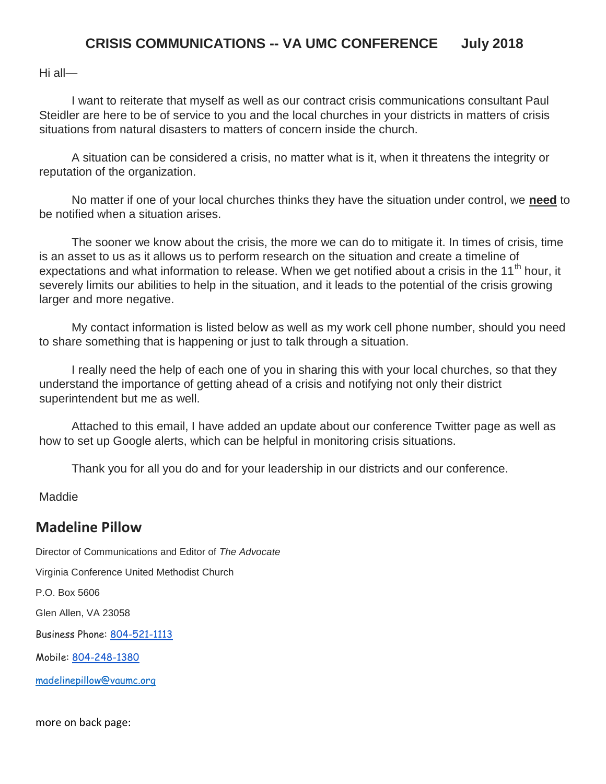## **CRISIS COMMUNICATIONS -- VA UMC CONFERENCE July 2018**

Hi all—

I want to reiterate that myself as well as our contract crisis communications consultant Paul Steidler are here to be of service to you and the local churches in your districts in matters of crisis situations from natural disasters to matters of concern inside the church.

A situation can be considered a crisis, no matter what is it, when it threatens the integrity or reputation of the organization.

No matter if one of your local churches thinks they have the situation under control, we **need** to be notified when a situation arises.

The sooner we know about the crisis, the more we can do to mitigate it. In times of crisis, time is an asset to us as it allows us to perform research on the situation and create a timeline of expectations and what information to release. When we get notified about a crisis in the 11<sup>th</sup> hour, it severely limits our abilities to help in the situation, and it leads to the potential of the crisis growing larger and more negative.

My contact information is listed below as well as my work cell phone number, should you need to share something that is happening or just to talk through a situation.

I really need the help of each one of you in sharing this with your local churches, so that they understand the importance of getting ahead of a crisis and notifying not only their district superintendent but me as well.

Attached to this email, I have added an update about our conference Twitter page as well as how to set up Google alerts, which can be helpful in monitoring crisis situations.

Thank you for all you do and for your leadership in our districts and our conference.

**Maddie** 

## **Madeline Pillow**

Director of Communications and Editor of *The Advocate* Virginia Conference United Methodist Church P.O. Box 5606 Glen Allen, VA 23058 Business Phone: [804-521-1113](tel:(804)%20521-1113) Mobile: [804-248-1380](tel:(804)%20248-1380) [madelinepillow@vaumc.org](mailto:madelinepillow@vaumc.org)

more on back page: